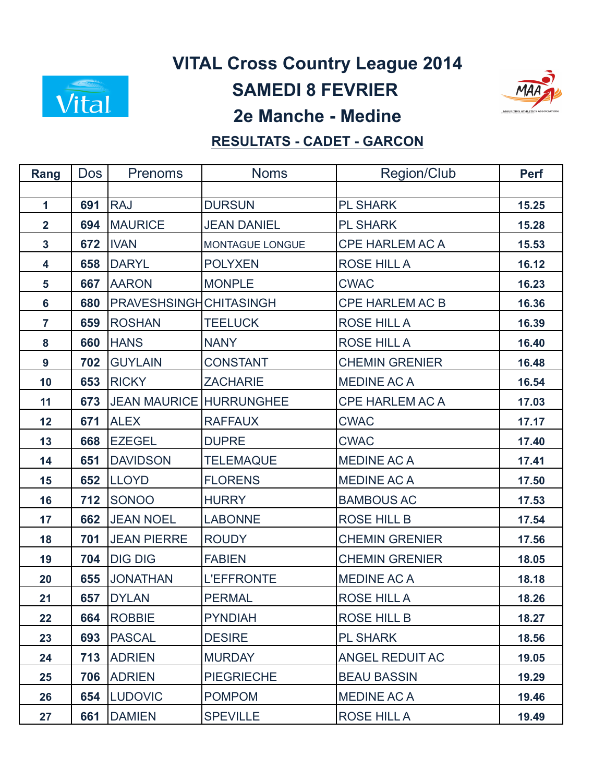

## **VITAL Cross Country League 2014**

**SAMEDI 8 FEVRIER** 



## **2e Manche - Medine**

## **RESULTATS - CADET - GARCON**

| Rang           | Dos l | <b>Prenoms</b>                 | <b>Noms</b>        | Region/Club            | <b>Perf</b> |
|----------------|-------|--------------------------------|--------------------|------------------------|-------------|
|                |       |                                |                    |                        |             |
| $\mathbf{1}$   | 691   | <b>RAJ</b>                     | <b>DURSUN</b>      | <b>PL SHARK</b>        | 15.25       |
| $\overline{2}$ | 694   | <b>MAURICE</b>                 | <b>JEAN DANIEL</b> | <b>PL SHARK</b>        | 15.28       |
| $\mathbf{3}$   | 672   | <b>IVAN</b>                    | MONTAGUE LONGUE    | <b>CPE HARLEM AC A</b> | 15.53       |
| 4              | 658   | <b>DARYL</b>                   | <b>POLYXEN</b>     | ROSE HILL A            | 16.12       |
| 5              | 667   | <b>AARON</b>                   | <b>MONPLE</b>      | <b>CWAC</b>            | 16.23       |
| 6              | 680   | <b>PRAVESHSINGHCHITASINGH</b>  |                    | <b>CPE HARLEM AC B</b> | 16.36       |
| $\overline{7}$ | 659   | <b>ROSHAN</b>                  | <b>TEELUCK</b>     | ROSE HILL A            | 16.39       |
| 8              | 660   | <b>HANS</b>                    | <b>NANY</b>        | ROSE HILL A            | 16.40       |
| 9              | 702   | <b>GUYLAIN</b>                 | <b>CONSTANT</b>    | <b>CHEMIN GRENIER</b>  | 16.48       |
| 10             | 653   | <b>RICKY</b>                   | <b>ZACHARIE</b>    | <b>MEDINE AC A</b>     | 16.54       |
| 11             | 673   | <b>JEAN MAURICE HURRUNGHEE</b> |                    | <b>CPE HARLEM AC A</b> | 17.03       |
| 12             | 671   | <b>ALEX</b>                    | <b>RAFFAUX</b>     | <b>CWAC</b>            | 17.17       |
| 13             | 668   | <b>EZEGEL</b>                  | <b>DUPRE</b>       | <b>CWAC</b>            | 17.40       |
| 14             | 651   | <b>DAVIDSON</b>                | <b>TELEMAQUE</b>   | <b>MEDINE AC A</b>     | 17.41       |
| 15             | 652   | <b>LLOYD</b>                   | <b>FLORENS</b>     | <b>MEDINE AC A</b>     | 17.50       |
| 16             | 712   | SONOO                          | <b>HURRY</b>       | <b>BAMBOUS AC</b>      | 17.53       |
| 17             | 662   | <b>JEAN NOEL</b>               | <b>LABONNE</b>     | <b>ROSE HILL B</b>     | 17.54       |
| 18             | 701   | <b>JEAN PIERRE</b>             | <b>ROUDY</b>       | <b>CHEMIN GRENIER</b>  | 17.56       |
| 19             | 704   | <b>DIG DIG</b>                 | <b>FABIEN</b>      | <b>CHEMIN GRENIER</b>  | 18.05       |
| 20             | 655   | <b>JONATHAN</b>                | <b>L'EFFRONTE</b>  | <b>MEDINE AC A</b>     | 18.18       |
| 21             | 657   | <b>DYLAN</b>                   | <b>PERMAL</b>      | <b>ROSE HILL A</b>     | 18.26       |
| 22             | 664   | <b>ROBBIE</b>                  | <b>PYNDIAH</b>     | ROSE HILL B            | 18.27       |
| 23             | 693   | <b>PASCAL</b>                  | <b>DESIRE</b>      | <b>PL SHARK</b>        | 18.56       |
| 24             | 713   | <b>ADRIEN</b>                  | <b>MURDAY</b>      | <b>ANGEL REDUIT AC</b> | 19.05       |
| 25             | 706   | <b>ADRIEN</b>                  | <b>PIEGRIECHE</b>  | <b>BEAU BASSIN</b>     | 19.29       |
| 26             | 654   | <b>LUDOVIC</b>                 | <b>POMPOM</b>      | <b>MEDINE AC A</b>     | 19.46       |
| 27             | 661   | <b>DAMIEN</b>                  | <b>SPEVILLE</b>    | <b>ROSE HILL A</b>     | 19.49       |